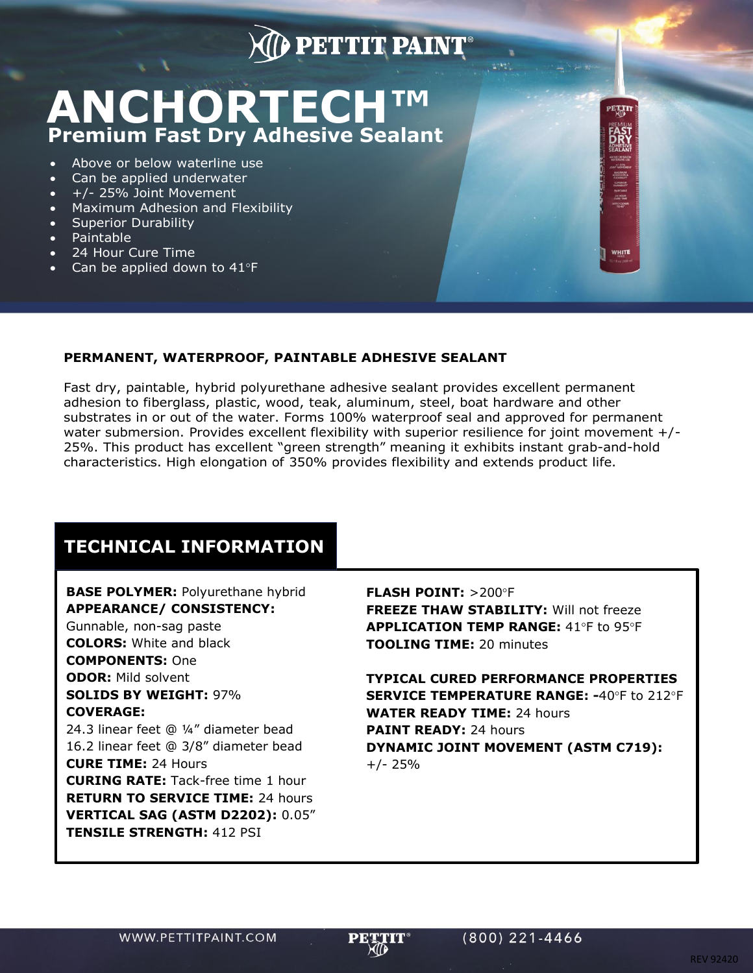## **PETTIT PAINT**

# **ANCHORTECH ™ Premium Fast Dry Adhesive Sealant**

- Above or below waterline use
- Can be applied underwater
- +/- 25% Joint Movement
- Maximum Adhesion and Flexibility
- Superior Durability
- Paintable
- 24 Hour Cure Time
- Can be applied down to  $41^{\circ}F$

#### **PERMANENT, WATERPROOF, PAINTABLE ADHESIVE SEALANT**

Fast dry, paintable, hybrid polyurethane adhesive sealant provides excellent permanent adhesion to fiberglass, plastic, wood, teak, aluminum, steel, boat hardware and other substrates in or out of the water. Forms 100% waterproof seal and approved for permanent water submersion. Provides excellent flexibility with superior resilience for joint movement +/-25%. This product has excellent "green strength" meaning it exhibits instant grab-and-hold characteristics. High elongation of 350% provides flexibility and extends product life.

### **TECHNICAL INFORMATION**

### **BASE POLYMER:** Polyurethane hybrid **APPEARANCE/ CONSISTENCY:**

Gunnable, non-sag paste **COLORS:** White and black **COMPONENTS:** One **ODOR:** Mild solvent **SOLIDS BY WEIGHT:** 97% **COVERAGE:**  24.3 linear feet @ ¼" diameter bead 16.2 linear feet @ 3/8" diameter bead **CURE TIME:** 24 Hours **CURING RATE:** Tack-free time 1 hour **RETURN TO SERVICE TIME:** 24 hours **VERTICAL SAG (ASTM D2202):** 0.05" **TENSILE STRENGTH:** 412 PSI

**FLASH POINT: >200°F FREEZE THAW STABILITY:** Will not freeze **APPLICATION TEMP RANGE: 41°F to 95°F TOOLING TIME:** 20 minutes

PETTIT

WHITE

**TYPICAL CURED PERFORMANCE PROPERTIES SERVICE TEMPERATURE RANGE: -40°F to 212°F WATER READY TIME:** 24 hours **PAINT READY:** 24 hours **DYNAMIC JOINT MOVEMENT (ASTM C719):**  +/- 25%